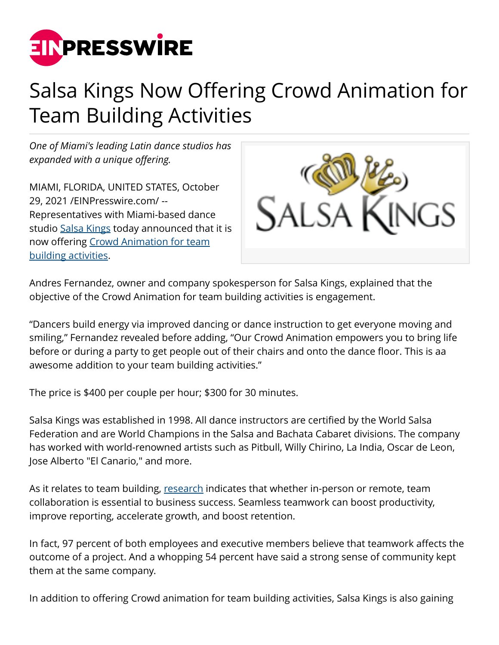

## Salsa Kings Now Offering Crowd Animation for Team Building Activities

*One of Miami's leading Latin dance studios has expanded with a unique offering.*

MIAMI, FLORIDA, UNITED STATES, October 29, 2021 /[EINPresswire.com/](http://www.einpresswire.com) -- Representatives with Miami-based dance studio [Salsa Kings](https://salsakings.com/) today announced that it is now offering [Crowd Animation for team](https://salsakings.com/hire/) [building activities.](https://salsakings.com/hire/)



Andres Fernandez, owner and company spokesperson for Salsa Kings, explained that the objective of the Crowd Animation for team building activities is engagement.

"Dancers build energy via improved dancing or dance instruction to get everyone moving and smiling," Fernandez revealed before adding, "Our Crowd Animation empowers you to bring life before or during a party to get people out of their chairs and onto the dance floor. This is aa awesome addition to your team building activities."

The price is \$400 per couple per hour; \$300 for 30 minutes.

Salsa Kings was established in 1998. All dance instructors are certified by the World Salsa Federation and are World Champions in the Salsa and Bachata Cabaret divisions. The company has worked with world-renowned artists such as Pitbull, Willy Chirino, La India, Oscar de Leon, Jose Alberto "El Canario," and more.

As it relates to team building, [research](https://blog.bit.ai/collaboration-statistics/) indicates that whether in-person or remote, team collaboration is essential to business success. Seamless teamwork can boost productivity, improve reporting, accelerate growth, and boost retention.

In fact, 97 percent of both employees and executive members believe that teamwork affects the outcome of a project. And a whopping 54 percent have said a strong sense of community kept them at the same company.

In addition to offering Crowd animation for team building activities, Salsa Kings is also gaining